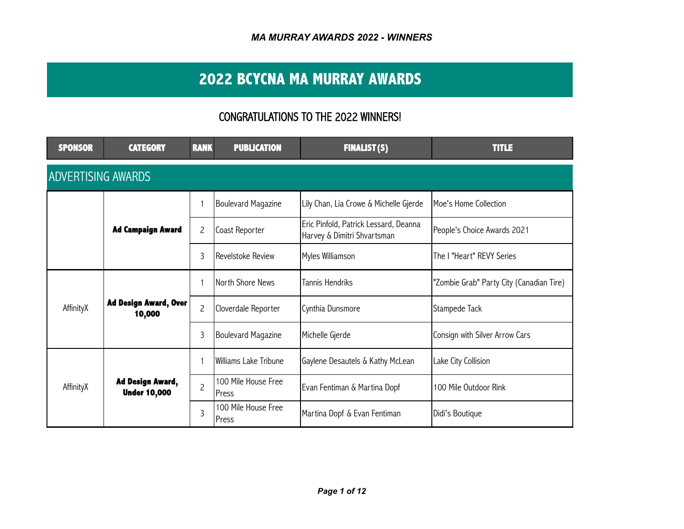# **2022 BCYCNA MA MURRAY AWARDS**

## CONGRATULATIONS TO THE 2022 WINNERS!

| <b>SPONSOR</b>            | <b>CATEGORY</b>                                | <b>RANK</b>       | <b>PUBLICATION</b>            | <b>FINALIST(S)</b>                                                   | <b>TITLE</b>                             |  |  |  |  |
|---------------------------|------------------------------------------------|-------------------|-------------------------------|----------------------------------------------------------------------|------------------------------------------|--|--|--|--|
| <b>ADVERTISING AWARDS</b> |                                                |                   |                               |                                                                      |                                          |  |  |  |  |
|                           |                                                |                   | Boulevard Magazine            | Lily Chan, Lia Crowe & Michelle Gjerde                               | Moe's Home Collection                    |  |  |  |  |
|                           | <b>Ad Campaign Award</b>                       | 2                 | Coast Reporter                | Eric Pinfold, Patrick Lessard, Deanna<br>Harvey & Dimitri Shvartsman | People's Choice Awards 2021              |  |  |  |  |
|                           | 3                                              | Revelstoke Review | Myles Williamson              | The I "Heart" REVY Series                                            |                                          |  |  |  |  |
|                           |                                                |                   | North Shore News              | <b>Tannis Hendriks</b>                                               | "Zombie Grab" Party City (Canadian Tire) |  |  |  |  |
| AffinityX                 | <b>Ad Design Award, Over</b><br>10,000         | $\overline{c}$    | Cloverdale Reporter           | Cynthia Dunsmore                                                     | Stampede Tack                            |  |  |  |  |
|                           |                                                | 3                 | Boulevard Magazine            | Michelle Gjerde                                                      | Consign with Silver Arrow Cars           |  |  |  |  |
| AffinityX                 |                                                |                   | Williams Lake Tribune         | Gaylene Desautels & Kathy McLean                                     | Lake City Collision                      |  |  |  |  |
|                           | <b>Ad Design Award,</b><br><b>Under 10,000</b> | $\overline{c}$    | 100 Mile House Free<br>Press  | Evan Fentiman & Martina Dopf                                         | 100 Mile Outdoor Rink                    |  |  |  |  |
|                           |                                                | 3                 | 100 Mile House Free<br>IPress | Martina Dopf & Evan Fentiman                                         | Didi's Boutique                          |  |  |  |  |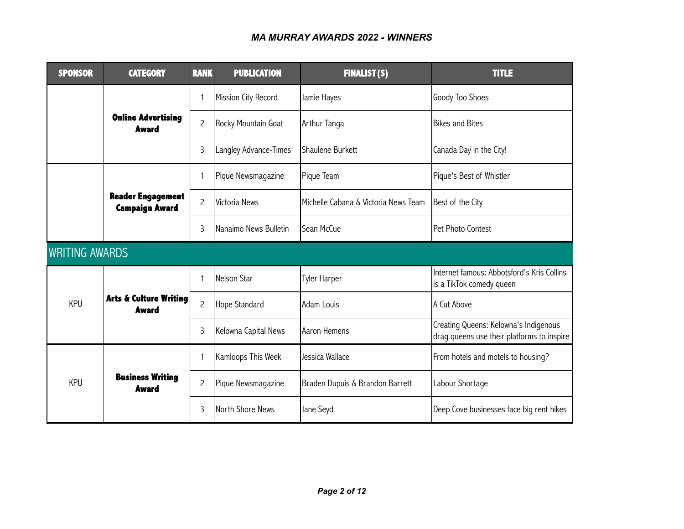| <b>SPONSOR</b>        | <b>CATEGORY</b>                                   | <b>RANK</b>    | <b>PUBLICATION</b>    | <b>FINALIST(S)</b>                   | <b>TITLE</b>                                                                        |
|-----------------------|---------------------------------------------------|----------------|-----------------------|--------------------------------------|-------------------------------------------------------------------------------------|
|                       |                                                   | 1              | Mission City Record   | Jamie Hayes                          | Goody Too Shoes                                                                     |
|                       | <b>Online Advertising</b><br><b>Award</b>         | $\overline{c}$ | Rocky Mountain Goat   | Arthur Tanga                         | <b>Bikes and Bites</b>                                                              |
|                       |                                                   | 3              | Langley Advance-Times | Shaulene Burkett                     | Canada Day in the City!                                                             |
|                       |                                                   | 1              | Pique Newsmagazine    | Pique Team                           | Pique's Best of Whistler                                                            |
|                       | <b>Reader Engagement</b><br><b>Campaign Award</b> | $\overline{c}$ | <b>Victoria News</b>  | Michelle Cabana & Victoria News Team | Best of the City                                                                    |
|                       |                                                   | 3              | Nanaimo News Bulletin | lSean McCue                          | Pet Photo Contest                                                                   |
| <b>WRITING AWARDS</b> |                                                   |                |                       |                                      |                                                                                     |
|                       |                                                   | 1              | Nelson Star           | Tyler Harper                         | Internet famous: Abbotsford's Kris Collins<br>is a TikTok comedy queen              |
| <b>KPU</b>            | <b>Arts &amp; Culture Writing</b><br><b>Award</b> | $\overline{c}$ | Hope Standard         | Adam Louis                           | A Cut Above                                                                         |
|                       |                                                   | 3              | Kelowna Capital News  | Aaron Hemens                         | Creating Queens: Kelowna's Indigenous<br>drag queens use their platforms to inspire |
| <b>KPU</b>            |                                                   | 1              | Kamloops This Week    | IJessica Wallace                     | From hotels and motels to housing?                                                  |
|                       | <b>Business Writing</b><br><b>Award</b>           | $\overline{c}$ | Pique Newsmagazine    | Braden Dupuis & Brandon Barrett      | Labour Shortage                                                                     |
|                       |                                                   | 3              | North Shore News      | Jane Seyd                            | Deep Cove businesses face big rent hikes                                            |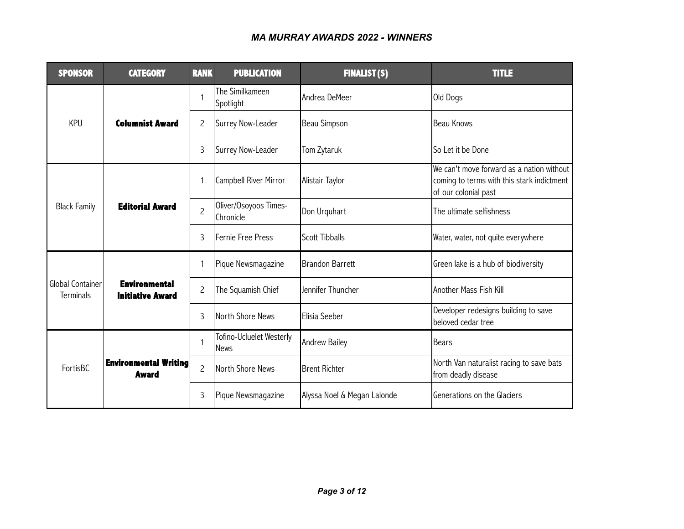| <b>SPONSOR</b>                                | <b>CATEGORY</b>                                 | <b>RANK</b>       | <b>PUBLICATION</b>                      | <b>FINALIST(S)</b>          | <b>TITLE</b>                                                                                                    |
|-----------------------------------------------|-------------------------------------------------|-------------------|-----------------------------------------|-----------------------------|-----------------------------------------------------------------------------------------------------------------|
|                                               |                                                 |                   | The Similkameen<br>Spotlight            | Andrea DeMeer               | Old Dogs                                                                                                        |
| <b>KPU</b>                                    | <b>Columnist Award</b>                          | $\overline{c}$    | Surrey Now-Leader                       | Beau Simpson                | <b>Beau Knows</b>                                                                                               |
|                                               | 3                                               | Surrey Now-Leader | Tom Zytaruk                             | So Let it be Done           |                                                                                                                 |
| <b>Editorial Award</b><br><b>Black Family</b> |                                                 | $\mathbf{1}$      | Campbell River Mirror                   | Alistair Taylor             | We can't move forward as a nation without<br>coming to terms with this stark indictment<br>of our colonial past |
|                                               |                                                 | $\overline{c}$    | Oliver/Osoyoos Times-<br>Chronicle      | Don Urquhart                | The ultimate selfishness                                                                                        |
|                                               |                                                 | 3                 | Fernie Free Press                       | <b>Scott Tibballs</b>       | Water, water, not quite everywhere                                                                              |
|                                               |                                                 | $\mathbf{1}$      | Pique Newsmagazine                      | <b>Brandon Barrett</b>      | Green lake is a hub of biodiversity                                                                             |
| Global Container<br><b>Terminals</b>          | <b>Environmental</b><br><b>Initiative Award</b> | $\overline{c}$    | The Squamish Chief                      | Jennifer Thuncher           | Another Mass Fish Kill                                                                                          |
|                                               |                                                 | 3                 | North Shore News                        | Elisia Seeber               | Developer redesigns building to save<br>beloved cedar tree                                                      |
|                                               | <b>Environmental Writing</b><br><b>Award</b>    | $\mathbf{1}$      | Tofino-Ucluelet Westerly<br><b>News</b> | <b>Andrew Bailey</b>        | <b>Bears</b>                                                                                                    |
| FortisBC                                      |                                                 | $\overline{c}$    | North Shore News                        | <b>Brent Richter</b>        | North Van naturalist racing to save bats<br>from deadly disease                                                 |
|                                               |                                                 | 3                 | Pique Newsmagazine                      | Alyssa Noel & Megan Lalonde | Generations on the Glaciers                                                                                     |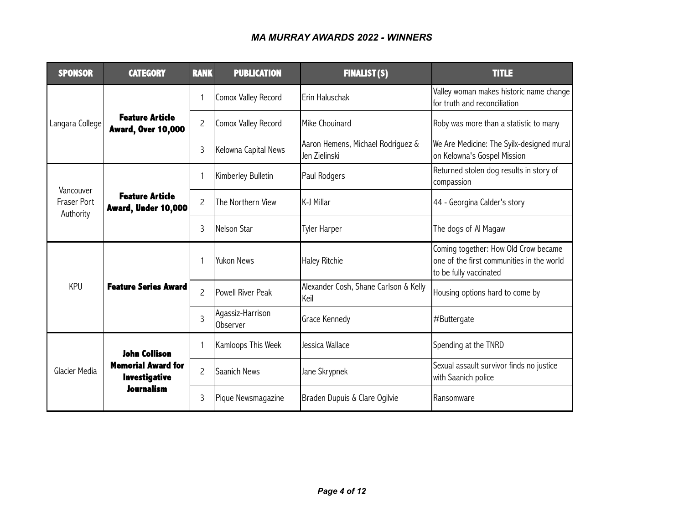| <b>SPONSOR</b>                  | <b>CATEGORY</b>                                     | <b>RANK</b>    | <b>PUBLICATION</b>           | <b>FINALIST(S)</b>                                                                                                                                                                                                                                                     | <b>TITLE</b>                                                                                                |
|---------------------------------|-----------------------------------------------------|----------------|------------------------------|------------------------------------------------------------------------------------------------------------------------------------------------------------------------------------------------------------------------------------------------------------------------|-------------------------------------------------------------------------------------------------------------|
|                                 |                                                     | $\mathbf{1}$   | Comox Valley Record          | Erin Haluschak                                                                                                                                                                                                                                                         | Valley woman makes historic name change<br>for truth and reconciliation                                     |
| Langara College                 | <b>Feature Article</b><br><b>Award, Over 10,000</b> | $\overline{c}$ | Comox Valley Record          | Mike Chouinard                                                                                                                                                                                                                                                         | Roby was more than a statistic to many                                                                      |
|                                 |                                                     | 3              | Kelowna Capital News         | Aaron Hemens, Michael Rodriguez &<br>Jen Zielinski<br>Paul Rodgers<br>K-J Millar<br><b>Tyler Harper</b><br><b>Haley Ritchie</b><br>Alexander Cosh, Shane Carlson & Kelly<br>Keil<br>Grace Kennedy<br>Jessica Wallace<br>Jane Skrypnek<br>Braden Dupuis & Clare Ogilvie | We Are Medicine: The Syilx-designed mural<br>on Kelowna's Gospel Mission                                    |
| Vancouver                       |                                                     | 1              | Kimberley Bulletin           |                                                                                                                                                                                                                                                                        | Returned stolen dog results in story of<br>compassion                                                       |
| <b>Fraser Port</b><br>Authority | <b>Feature Article</b><br>Award, Under 10,000       | $\overline{c}$ | The Northern View            |                                                                                                                                                                                                                                                                        | 44 - Georgina Calder's story                                                                                |
|                                 |                                                     | 3              | Nelson Star                  |                                                                                                                                                                                                                                                                        | The dogs of Al Magaw                                                                                        |
|                                 |                                                     |                | Yukon News                   |                                                                                                                                                                                                                                                                        | Coming together: How Old Crow became<br>one of the first communities in the world<br>to be fully vaccinated |
| <b>KPU</b>                      | <b>Feature Series Award</b>                         | $\overline{c}$ | Powell River Peak            |                                                                                                                                                                                                                                                                        | Housing options hard to come by                                                                             |
|                                 |                                                     | 3              | Agassiz-Harrison<br>Observer |                                                                                                                                                                                                                                                                        | #Buttergate                                                                                                 |
|                                 | <b>John Collison</b>                                |                | Kamloops This Week           |                                                                                                                                                                                                                                                                        | Spending at the TNRD                                                                                        |
| Glacier Media                   | <b>Memorial Award for</b><br><b>Investigative</b>   | $\overline{c}$ | Saanich News                 |                                                                                                                                                                                                                                                                        | Sexual assault survivor finds no justice<br>with Saanich police                                             |
|                                 | <b>Journalism</b>                                   | 3              | Pique Newsmagazine           |                                                                                                                                                                                                                                                                        | Ransomware                                                                                                  |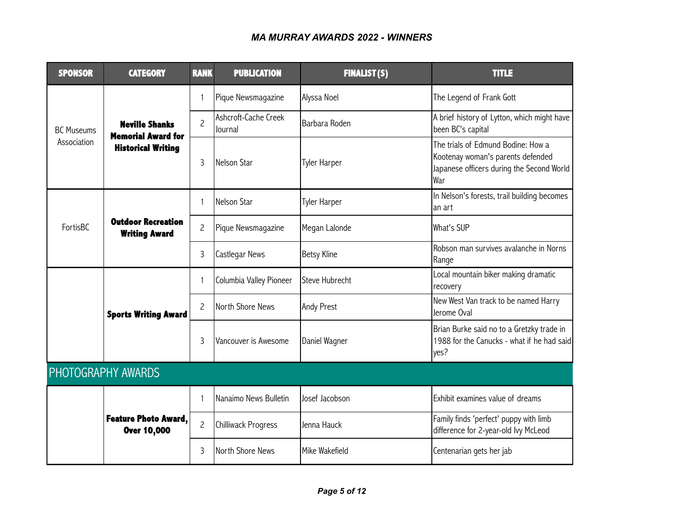| <b>SPONSOR</b>    | <b>CATEGORY</b>                                    | <b>RANK</b>    | <b>PUBLICATION</b>              | <b>FINALIST(S)</b>    | <b>TITLE</b>                                                                                                                |
|-------------------|----------------------------------------------------|----------------|---------------------------------|-----------------------|-----------------------------------------------------------------------------------------------------------------------------|
|                   |                                                    | 1              | Pique Newsmagazine              | Alyssa Noel           | The Legend of Frank Gott                                                                                                    |
| <b>BC Museums</b> | <b>Neville Shanks</b><br><b>Memorial Award for</b> | $\overline{c}$ | Ashcroft-Cache Creek<br>Journal | Barbara Roden         | A brief history of Lytton, which might have<br>been BC's capital                                                            |
| Association       | <b>Historical Writing</b>                          | 3              | Nelson Star                     | <b>Tyler Harper</b>   | The trials of Edmund Bodine: How a<br>Kootenay woman's parents defended<br>Japanese officers during the Second World<br>War |
|                   |                                                    | 1              | Nelson Star                     | Tyler Harper          | In Nelson's forests, trail building becomes<br>lan art                                                                      |
| FortisBC          | <b>Outdoor Recreation</b><br><b>Writing Award</b>  | $\overline{c}$ | Pique Newsmagazine              | Megan Lalonde         | What's SUP                                                                                                                  |
|                   |                                                    | 3              | Castlegar News                  | <b>Betsy Kline</b>    | Robson man survives avalanche in Norns<br>Range                                                                             |
|                   |                                                    | 1              | Columbia Valley Pioneer         | <b>Steve Hubrecht</b> | Local mountain biker making dramatic<br>recovery                                                                            |
|                   | <b>Sports Writing Award</b>                        | $\overline{c}$ | North Shore News                | <b>Andy Prest</b>     | New West Van track to be named Harry<br>Jerome Oval                                                                         |
|                   |                                                    | 3              | Vancouver is Awesome            | Daniel Wagner         | Brian Burke said no to a Gretzky trade in<br>1988 for the Canucks - what if he had said<br>yes?                             |
|                   | PHOTOGRAPHY AWARDS                                 |                |                                 |                       |                                                                                                                             |
|                   | <b>Feature Photo Award,</b><br>Over 10,000         | 1              | Nanaimo News Bulletin           | Josef Jacobson        | Exhibit examines value of dreams                                                                                            |
|                   |                                                    | $\overline{c}$ | Chilliwack Progress             | Jenna Hauck           | Family finds 'perfect' puppy with limb<br>difference for 2-year-old lvy McLeod                                              |
|                   |                                                    | 3              | North Shore News                | Mike Wakefield        | Centenarian gets her jab                                                                                                    |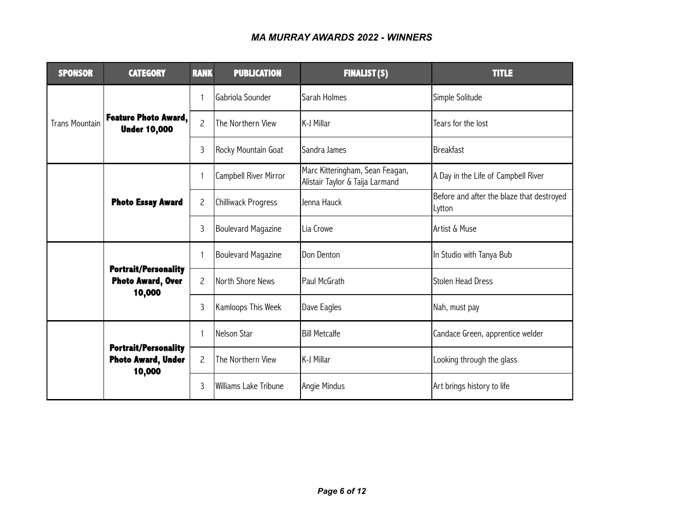| <b>SPONSOR</b>        | <b>CATEGORY</b>                                                    | <b>RANK</b>    | <b>PUBLICATION</b>    | <b>FINALIST(S)</b>                                                 | <b>TITLE</b>                                        |
|-----------------------|--------------------------------------------------------------------|----------------|-----------------------|--------------------------------------------------------------------|-----------------------------------------------------|
|                       |                                                                    | $\mathbf{1}$   | Gabriola Sounder      | Sarah Holmes                                                       | Simple Solitude                                     |
| <b>Trans Mountain</b> | Feature Photo Award,<br><b>Under 10,000</b>                        | $\overline{c}$ | The Northern View     | K-J Millar                                                         | Tears for the lost                                  |
|                       |                                                                    | $\mathsf{3}$   | Rocky Mountain Goat   | Sandra James                                                       | <b>Breakfast</b>                                    |
|                       |                                                                    | $\mathbf{1}$   | Campbell River Mirror | Marc Kitteringham, Sean Feagan,<br>Alistair Taylor & Taija Larmand | A Day in the Life of Campbell River                 |
|                       | <b>Photo Essay Award</b>                                           | $\overline{c}$ | Chilliwack Progress   | Jenna Hauck                                                        | Before and after the blaze that destroyed<br>Lytton |
|                       |                                                                    | 3              | Boulevard Magazine    | Lia Crowe                                                          | Artist & Muse                                       |
|                       |                                                                    | $\mathbf{1}$   | Boulevard Magazine    | Don Denton                                                         | In Studio with Tanya Bub                            |
|                       | <b>Portrait/Personality</b><br><b>Photo Award, Over</b><br>10,000  | $\overline{c}$ | North Shore News      | Paul McGrath                                                       | <b>Stolen Head Dress</b>                            |
|                       |                                                                    | $\mathsf{3}$   | Kamloops This Week    | Dave Eagles                                                        | Nah, must pay                                       |
|                       | <b>Portrait/Personality</b><br><b>Photo Award, Under</b><br>10,000 | $\mathbf{1}$   | Nelson Star           | <b>Bill Metcalfe</b>                                               | Candace Green, apprentice welder                    |
|                       |                                                                    | $\overline{c}$ | The Northern View     | K-J Millar                                                         | Looking through the glass                           |
|                       |                                                                    | 3              | Williams Lake Tribune | Angie Mindus                                                       | Art brings history to life                          |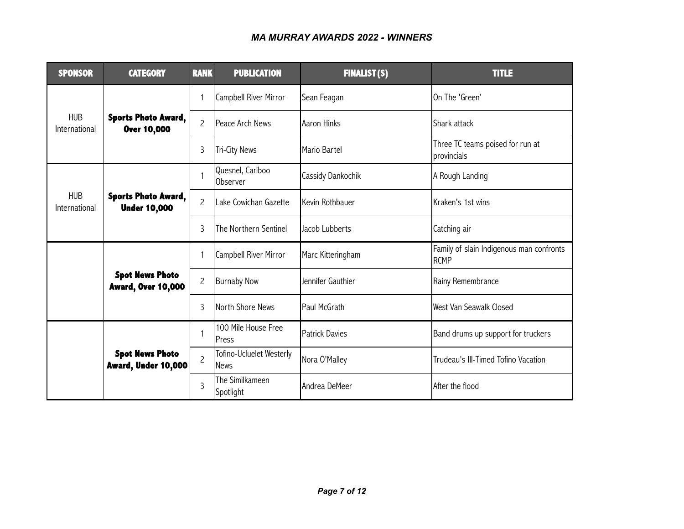| <b>SPONSOR</b>              | <b>CATEGORY</b>                                     |                                                                                                                                                                                                                                                                                                                                                                                                                                                                                                                                                                                                   | <b>PUBLICATION</b>           | <b>FINALIST(S)</b>                              | <b>TITLE</b>                                            |
|-----------------------------|-----------------------------------------------------|---------------------------------------------------------------------------------------------------------------------------------------------------------------------------------------------------------------------------------------------------------------------------------------------------------------------------------------------------------------------------------------------------------------------------------------------------------------------------------------------------------------------------------------------------------------------------------------------------|------------------------------|-------------------------------------------------|---------------------------------------------------------|
|                             |                                                     | 1                                                                                                                                                                                                                                                                                                                                                                                                                                                                                                                                                                                                 | Campbell River Mirror        | Sean Feagan                                     | On The 'Green'                                          |
| <b>HUB</b><br>International | <b>Sports Photo Award,</b><br>Over 10,000           | $\overline{c}$                                                                                                                                                                                                                                                                                                                                                                                                                                                                                                                                                                                    |                              | Aaron Hinks                                     | Shark attack                                            |
|                             |                                                     | <b>RANK</b><br>Peace Arch News<br>3<br><b>Tri-City News</b><br>Mario Bartel<br>Quesnel, Cariboo<br>$\mathbf{1}$<br>Cassidy Dankochik<br>Observer<br>$\overline{c}$<br>Kevin Rothbauer<br>Lake Cowichan Gazette<br>3<br>Jacob Lubberts<br>The Northern Sentinel<br>Campbell River Mirror<br>Marc Kitteringham<br>$\mathbf{1}$<br>$\overline{c}$<br><b>Burnaby Now</b><br>Jennifer Gauthier<br>3<br>North Shore News<br>Paul McGrath<br>100 Mile House Free<br>$\mathbf{1}$<br><b>Patrick Davies</b><br><b>IPress</b><br>Tofino-Ucluelet Westerly<br>$\overline{c}$<br>Nora O'Malley<br><b>News</b> |                              | Three TC teams poised for run at<br>provincials |                                                         |
|                             |                                                     |                                                                                                                                                                                                                                                                                                                                                                                                                                                                                                                                                                                                   |                              |                                                 | A Rough Landing                                         |
| <b>HUB</b><br>International | <b>Sports Photo Award,</b><br><b>Under 10,000</b>   |                                                                                                                                                                                                                                                                                                                                                                                                                                                                                                                                                                                                   |                              |                                                 | Kraken's 1st wins                                       |
|                             |                                                     |                                                                                                                                                                                                                                                                                                                                                                                                                                                                                                                                                                                                   |                              |                                                 | Catching air                                            |
|                             |                                                     |                                                                                                                                                                                                                                                                                                                                                                                                                                                                                                                                                                                                   |                              |                                                 | Family of slain Indigenous man confronts<br><b>RCMP</b> |
|                             | <b>Spot News Photo</b><br><b>Award, Over 10,000</b> |                                                                                                                                                                                                                                                                                                                                                                                                                                                                                                                                                                                                   |                              |                                                 | Rainy Remembrance                                       |
|                             |                                                     |                                                                                                                                                                                                                                                                                                                                                                                                                                                                                                                                                                                                   |                              |                                                 | West Van Seawalk Closed                                 |
|                             | <b>Spot News Photo</b><br>Award, Under 10,000       |                                                                                                                                                                                                                                                                                                                                                                                                                                                                                                                                                                                                   |                              |                                                 | Band drums up support for truckers                      |
|                             |                                                     |                                                                                                                                                                                                                                                                                                                                                                                                                                                                                                                                                                                                   |                              |                                                 | Trudeau's III-Timed Tofino Vacation                     |
|                             |                                                     | 3                                                                                                                                                                                                                                                                                                                                                                                                                                                                                                                                                                                                 | The Similkameen<br>Spotlight | Andrea DeMeer                                   | After the flood                                         |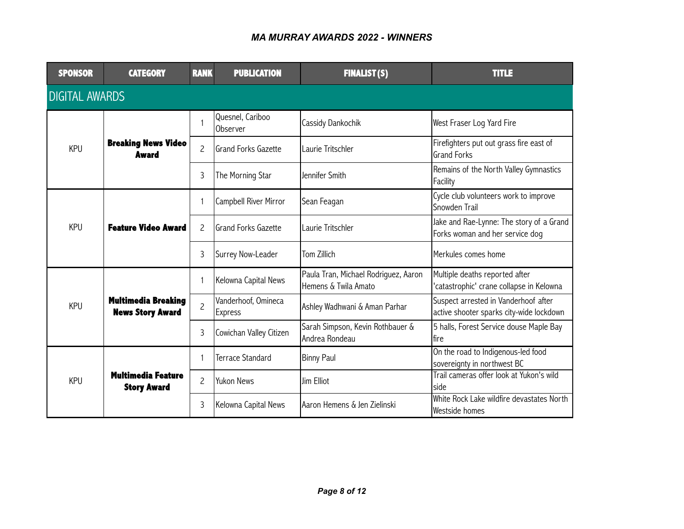| <b>SPONSOR</b>        | <b>CATEGORY</b>                                       | <b>RANK</b>    | <b>PUBLICATION</b>                    | <b>FINALIST(S)</b>                                           | <b>TITLE</b>                                                                     |  |  |  |  |
|-----------------------|-------------------------------------------------------|----------------|---------------------------------------|--------------------------------------------------------------|----------------------------------------------------------------------------------|--|--|--|--|
| <b>DIGITAL AWARDS</b> |                                                       |                |                                       |                                                              |                                                                                  |  |  |  |  |
|                       |                                                       | $\mathbf{1}$   | Quesnel, Cariboo<br>Observer          | Cassidy Dankochik                                            | West Fraser Log Yard Fire                                                        |  |  |  |  |
| <b>KPU</b>            | <b>Breaking News Video</b><br><b>Award</b>            | $\overline{c}$ | <b>Grand Forks Gazette</b>            | Laurie Tritschler                                            | Firefighters put out grass fire east of<br><b>Grand Forks</b>                    |  |  |  |  |
|                       |                                                       | 3              | The Morning Star                      | Jennifer Smith                                               | Remains of the North Valley Gymnastics<br>Facility                               |  |  |  |  |
|                       | <b>Feature Video Award</b><br><b>KPU</b>              | $\mathbf{1}$   | <b>Campbell River Mirror</b>          | Sean Feagan                                                  | Cycle club volunteers work to improve<br>Snowden Trail                           |  |  |  |  |
|                       |                                                       | $\overline{c}$ | <b>Grand Forks Gazette</b>            | Laurie Tritschler                                            | Jake and Rae-Lynne: The story of a Grand<br>Forks woman and her service dog      |  |  |  |  |
|                       |                                                       | 3              | Surrey Now-Leader                     | Tom Zillich                                                  | Merkules comes home                                                              |  |  |  |  |
|                       |                                                       | $\mathbf{1}$   | Kelowna Capital News                  | Paula Tran, Michael Rodriguez, Aaron<br>Hemens & Twila Amato | Multiple deaths reported after<br>'catastrophic' crane collapse in Kelowna       |  |  |  |  |
| <b>KPU</b>            | <b>Multimedia Breaking</b><br><b>News Story Award</b> | $\overline{c}$ | Vanderhoof, Omineca<br><b>Express</b> | Ashley Wadhwani & Aman Parhar                                | Suspect arrested in Vanderhoof after<br>active shooter sparks city-wide lockdown |  |  |  |  |
|                       |                                                       | 3              | Cowichan Valley Citizen               | Sarah Simpson, Kevin Rothbauer &<br>Andrea Rondeau           | 5 halls, Forest Service douse Maple Bay<br>Ifire                                 |  |  |  |  |
|                       |                                                       | 1              | <b>Terrace Standard</b>               | <b>Binny Paul</b>                                            | On the road to Indigenous-led food<br>sovereignty in northwest BC                |  |  |  |  |
| <b>KPU</b>            | <b>Multimedia Feature</b><br><b>Story Award</b>       | $\overline{c}$ | Yukon News                            | Jim Elliot                                                   | Trail cameras offer look at Yukon's wild<br>Iside                                |  |  |  |  |
|                       |                                                       | 3              | Kelowna Capital News                  | Aaron Hemens & Jen Zielinski                                 | White Rock Lake wildfire devastates North<br>Westside homes                      |  |  |  |  |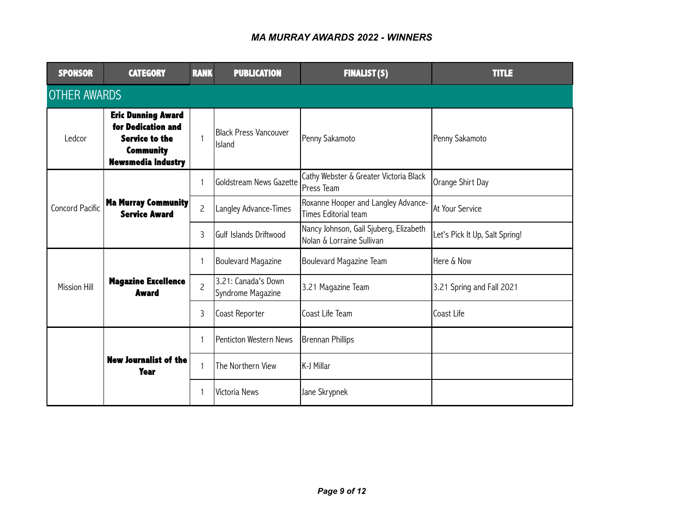| <b>SPONSOR</b>         | <b>CATEGORY</b>                                                                                                           | <b>RANK</b>    | <b>PUBLICATION</b>                       | <b>FINALIST(S)</b>                                                  | <b>TITLE</b>                   |  |  |  |  |
|------------------------|---------------------------------------------------------------------------------------------------------------------------|----------------|------------------------------------------|---------------------------------------------------------------------|--------------------------------|--|--|--|--|
|                        | <b>OTHER AWARDS</b>                                                                                                       |                |                                          |                                                                     |                                |  |  |  |  |
| Ledcor                 | <b>Eric Dunning Award</b><br>for Dedication and<br><b>Service to the</b><br><b>Community</b><br><b>Newsmedia Industry</b> | 1              | Black Press Vancouver<br><b>Island</b>   | Penny Sakamoto                                                      | Penny Sakamoto                 |  |  |  |  |
|                        |                                                                                                                           | $\mathbf{1}$   | <b>Goldstream News Gazette</b>           | Cathy Webster & Greater Victoria Black<br>Press Team                | Orange Shirt Day               |  |  |  |  |
| <b>Concord Pacific</b> | Ma Murray Community<br><b>Service Award</b>                                                                               | $\overline{c}$ | Langley Advance-Times                    | Roxanne Hooper and Langley Advance-<br><b>Times Editorial team</b>  | At Your Service                |  |  |  |  |
|                        |                                                                                                                           | 3              | lGulf Islands Driftwood                  | Nancy Johnson, Gail Sjuberg, Elizabeth<br>Nolan & Lorraine Sullivan | Let's Pick It Up, Salt Spring! |  |  |  |  |
|                        |                                                                                                                           | $\mathbf{1}$   | Boulevard Magazine                       | Boulevard Magazine Team                                             | Here & Now                     |  |  |  |  |
| <b>Mission Hill</b>    | <b>Magazine Excellence</b><br><b>Award</b>                                                                                | $\overline{c}$ | 3.21: Canada's Down<br>Syndrome Magazine | 3.21 Magazine Team                                                  | 3.21 Spring and Fall 2021      |  |  |  |  |
|                        |                                                                                                                           | 3              | Coast Reporter                           | Coast Life Team                                                     | Coast Life                     |  |  |  |  |
|                        | <b>New Journalist of the</b><br><b>Year</b>                                                                               | $\mathbf{1}$   | Penticton Western News                   | Brennan Phillips                                                    |                                |  |  |  |  |
|                        |                                                                                                                           | $\mathbf{1}$   | The Northern View                        | K-J Millar                                                          |                                |  |  |  |  |
|                        |                                                                                                                           | 1              | Victoria News                            | Jane Skrypnek                                                       |                                |  |  |  |  |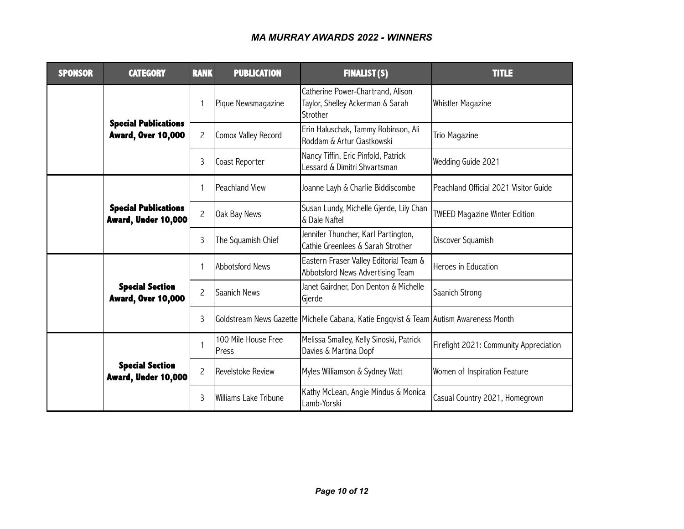| <b>SPONSOR</b> | <b>CATEGORY</b>                                          | <b>RANK</b>    | <b>PUBLICATION</b>           | <b>FINALIST(S)</b>                                                                    | <b>TITLE</b>                           |
|----------------|----------------------------------------------------------|----------------|------------------------------|---------------------------------------------------------------------------------------|----------------------------------------|
|                |                                                          | $\mathbf{1}$   | Pique Newsmagazine           | Catherine Power-Chartrand, Alison<br>Taylor, Shelley Ackerman & Sarah<br>Strother     | Whistler Magazine                      |
|                | <b>Special Publications</b><br><b>Award, Over 10,000</b> | $\overline{c}$ | Comox Valley Record          | Erin Haluschak, Tammy Robinson, Ali<br>Roddam & Artur Ciastkowski                     | Trio Magazine                          |
|                |                                                          | 3              | Coast Reporter               | Nancy Tiffin, Eric Pinfold, Patrick<br>Lessard & Dimitri Shvartsman                   | Wedding Guide 2021                     |
|                |                                                          | $\mathbf{1}$   | Peachland View               | Joanne Layh & Charlie Biddiscombe                                                     | Peachland Official 2021 Visitor Guide  |
|                | <b>Special Publications</b><br>Award, Under 10,000       | $\overline{c}$ | Oak Bay News                 | Susan Lundy, Michelle Gjerde, Lily Chan<br>& Dale Naftel                              | <b>TWEED Magazine Winter Edition</b>   |
|                |                                                          | 3              | The Squamish Chief           | Jennifer Thuncher, Karl Partington,<br>Cathie Greenlees & Sarah Strother              | Discover Squamish                      |
|                |                                                          |                | <b>Abbotsford News</b>       | Eastern Fraser Valley Editorial Team &<br>Abbotsford News Advertising Team            | Heroes in Education                    |
|                | <b>Special Section</b><br><b>Award, Over 10,000</b>      | $\overline{c}$ | Saanich News                 | Janet Gairdner, Don Denton & Michelle<br>Gjerde                                       | Saanich Strong                         |
|                |                                                          | 3              |                              | Goldstream News Gazette Michelle Cabana, Katie Engqvist & Team Autism Awareness Month |                                        |
|                | <b>Special Section</b><br>Award, Under 10,000            |                | 100 Mile House Free<br>Press | Melissa Smalley, Kelly Sinoski, Patrick<br>Davies & Martina Dopf                      | Firefight 2021: Community Appreciation |
|                |                                                          | $\overline{c}$ | Revelstoke Review            | Myles Williamson & Sydney Watt                                                        | Women of Inspiration Feature           |
|                |                                                          | 3              | Williams Lake Tribune        | Kathy McLean, Angie Mindus & Monica<br>Lamb-Yorski                                    | Casual Country 2021, Homegrown         |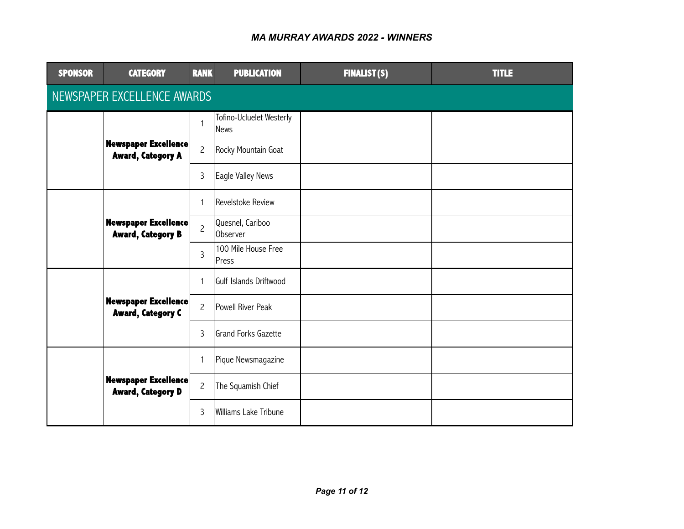| <b>SPONSOR</b>              | <b>CATEGORY</b>                                         | <b>RANK</b>    | <b>PUBLICATION</b>                      | <b>FINALIST(S)</b> | <b>TITLE</b> |  |  |  |
|-----------------------------|---------------------------------------------------------|----------------|-----------------------------------------|--------------------|--------------|--|--|--|
| NEWSPAPER EXCELLENCE AWARDS |                                                         |                |                                         |                    |              |  |  |  |
|                             |                                                         | 1              | Tofino-Ucluelet Westerly<br><b>News</b> |                    |              |  |  |  |
|                             | <b>Newspaper Excellence</b><br><b>Award, Category A</b> | $\overline{c}$ | Rocky Mountain Goat                     |                    |              |  |  |  |
|                             |                                                         | 3              | Eagle Valley News                       |                    |              |  |  |  |
|                             |                                                         | 1              | Revelstoke Review                       |                    |              |  |  |  |
|                             | <b>Newspaper Excellence</b><br><b>Award, Category B</b> | $\overline{c}$ | Quesnel, Cariboo<br>Observer            |                    |              |  |  |  |
|                             |                                                         | 3              | 100 Mile House Free<br><b>Press</b>     |                    |              |  |  |  |
|                             |                                                         | $\mathbf{1}$   | Gulf Islands Driftwood                  |                    |              |  |  |  |
|                             | <b>Newspaper Excellence</b><br><b>Award, Category C</b> | $\overline{c}$ | Powell River Peak                       |                    |              |  |  |  |
|                             |                                                         | 3              | lGrand Forks Gazette                    |                    |              |  |  |  |
|                             |                                                         | $\mathbf{1}$   | Pique Newsmagazine                      |                    |              |  |  |  |
|                             | <b>Newspaper Excellence</b><br><b>Award, Category D</b> | $\overline{c}$ | The Squamish Chief                      |                    |              |  |  |  |
|                             |                                                         | 3              | Williams Lake Tribune                   |                    |              |  |  |  |